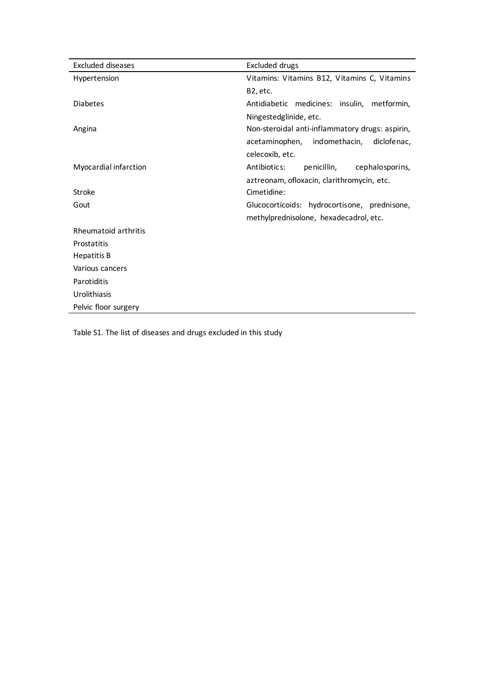| Excluded diseases     | Excluded drugs                                  |  |  |  |  |  |  |  |
|-----------------------|-------------------------------------------------|--|--|--|--|--|--|--|
| Hypertension          | Vitamins: Vitamins B12, Vitamins C, Vitamins    |  |  |  |  |  |  |  |
|                       | B2, etc.                                        |  |  |  |  |  |  |  |
| <b>Diabetes</b>       | Antidiabetic medicines: insulin, metformin,     |  |  |  |  |  |  |  |
|                       | Ningestedglinide, etc.                          |  |  |  |  |  |  |  |
| Angina                | Non-steroidal anti-inflammatory drugs: aspirin, |  |  |  |  |  |  |  |
|                       | indomethacin,<br>acetaminophen,<br>diclofe nac, |  |  |  |  |  |  |  |
|                       | celecoxib, etc.                                 |  |  |  |  |  |  |  |
| Myocardial infarction | Antibiotics:<br>pe nicillin,<br>cephalosporins, |  |  |  |  |  |  |  |
|                       | aztreonam, ofloxacin, clarithromycin, etc.      |  |  |  |  |  |  |  |
| Stroke                | Cimetidine:                                     |  |  |  |  |  |  |  |
| Gout                  | Glucocorticoids: hydrocortisone, prednisone,    |  |  |  |  |  |  |  |
|                       | methylprednisolone, hexadecadrol, etc.          |  |  |  |  |  |  |  |
| Rheumatoid arthritis  |                                                 |  |  |  |  |  |  |  |
| Prostatitis           |                                                 |  |  |  |  |  |  |  |
| Hepatitis B           |                                                 |  |  |  |  |  |  |  |
| Various cancers       |                                                 |  |  |  |  |  |  |  |
| Parotiditis           |                                                 |  |  |  |  |  |  |  |
| Urolithiasis          |                                                 |  |  |  |  |  |  |  |
| Pelvic floor surgery  |                                                 |  |  |  |  |  |  |  |

Table S1. The list of diseases and drugs excluded in this study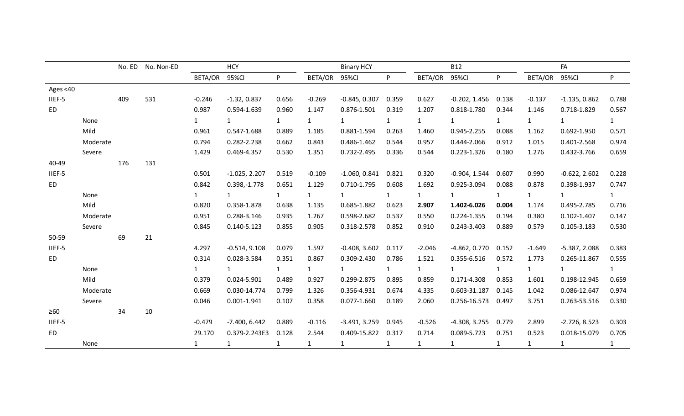|           |          | No. ED | No. Non-ED |              | <b>HCY</b>      |              |                | <b>Binary HCY</b> |              |                | <b>B12</b>      |              |              | FA              |              |
|-----------|----------|--------|------------|--------------|-----------------|--------------|----------------|-------------------|--------------|----------------|-----------------|--------------|--------------|-----------------|--------------|
|           |          |        |            | BETA/OR      | 95%Cl           | P.           | <b>BETA/OR</b> | 95%CI             | P.           | <b>BETA/OR</b> | 95%CI           | P.           | BETA/OR      | 95%CI           | P.           |
| Ages <40  |          |        |            |              |                 |              |                |                   |              |                |                 |              |              |                 |              |
| IIEF-5    |          | 409    | 531        | $-0.246$     | $-1.32, 0.837$  | 0.656        | $-0.269$       | $-0.845, 0.307$   | 0.359        | 0.627          | $-0.202, 1.456$ | 0.138        | $-0.137$     | $-1.135, 0.862$ | 0.788        |
| <b>ED</b> |          |        |            | 0.987        | 0.594-1.639     | 0.960        | 1.147          | 0.876-1.501       | 0.319        | 1.207          | 0.818-1.780     | 0.344        | 1.146        | 0.718-1.829     | 0.567        |
|           | None     |        |            | $\mathbf{1}$ | $\mathbf{1}$    | 1            | $\mathbf{1}$   | $\mathbf{1}$      | $\mathbf{1}$ | $\mathbf{1}$   | 1               | $\mathbf{1}$ | $\mathbf{1}$ | $\mathbf{1}$    | $\mathbf{1}$ |
|           | Mild     |        |            | 0.961        | 0.547-1.688     | 0.889        | 1.185          | 0.881-1.594       | 0.263        | 1.460          | 0.945-2.255     | 0.088        | 1.162        | 0.692-1.950     | 0.571        |
|           | Moderate |        |            | 0.794        | 0.282-2.238     | 0.662        | 0.843          | 0.486-1.462       | 0.544        | 0.957          | 0.444-2.066     | 0.912        | 1.015        | 0.401-2.568     | 0.974        |
|           | Severe   |        |            | 1.429        | 0.469-4.357     | 0.530        | 1.351          | 0.732-2.495       | 0.336        | 0.544          | 0.223-1.326     | 0.180        | 1.276        | 0.432-3.766     | 0.659        |
| 40-49     |          | 176    | 131        |              |                 |              |                |                   |              |                |                 |              |              |                 |              |
| IIEF-5    |          |        |            | 0.501        | $-1.025, 2.207$ | 0.519        | $-0.109$       | $-1.060, 0.841$   | 0.821        | 0.320          | $-0.904, 1.544$ | 0.607        | 0.990        | $-0.622, 2.602$ | 0.228        |
| ED        |          |        |            | 0.842        | $0.398, -1.778$ | 0.651        | 1.129          | 0.710-1.795       | 0.608        | 1.692          | 0.925-3.094     | 0.088        | 0.878        | 0.398-1.937     | 0.747        |
|           | None     |        |            | $\mathbf{1}$ | $\mathbf{1}$    | 1            | $\mathbf{1}$   | $\mathbf{1}$      | $\mathbf{1}$ | $\mathbf{1}$   | $\mathbf{1}$    | $\mathbf{1}$ | 1            | $\mathbf{1}$    | $\mathbf{1}$ |
|           | Mild     |        |            | 0.820        | 0.358-1.878     | 0.638        | 1.135          | 0.685-1.882       | 0.623        | 2.907          | 1.402-6.026     | 0.004        | 1.174        | 0.495-2.785     | 0.716        |
|           | Moderate |        |            | 0.951        | 0.288-3.146     | 0.935        | 1.267          | 0.598-2.682       | 0.537        | 0.550          | 0.224-1.355     | 0.194        | 0.380        | $0.102 - 1.407$ | 0.147        |
|           | Severe   |        |            | 0.845        | 0.140-5.123     | 0.855        | 0.905          | 0.318-2.578       | 0.852        | 0.910          | 0.243-3.403     | 0.889        | 0.579        | $0.105 - 3.183$ | 0.530        |
| 50-59     |          | 69     | 21         |              |                 |              |                |                   |              |                |                 |              |              |                 |              |
| IIEF-5    |          |        |            | 4.297        | $-0.514, 9.108$ | 0.079        | 1.597          | $-0.408, 3.602$   | 0.117        | $-2.046$       | $-4.862, 0.770$ | 0.152        | $-1.649$     | $-5.387, 2.088$ | 0.383        |
| ED        |          |        |            | 0.314        | 0.028-3.584     | 0.351        | 0.867          | 0.309-2.430       | 0.786        | 1.521          | 0.355-6.516     | 0.572        | 1.773        | 0.265-11.867    | 0.555        |
|           | None     |        |            | $\mathbf{1}$ | $\mathbf{1}$    | $\mathbf{1}$ | $\mathbf{1}$   | $\mathbf{1}$      | $\mathbf{1}$ | $\mathbf{1}$   | $\mathbf{1}$    | $\mathbf{1}$ | $\mathbf{1}$ | 1               | $\mathbf{1}$ |
|           | Mild     |        |            | 0.379        | 0.024-5.901     | 0.489        | 0.927          | 0.299-2.875       | 0.895        | 0.859          | 0.171-4.308     | 0.853        | 1.601        | 0.198-12.945    | 0.659        |
|           | Moderate |        |            | 0.669        | 0.030-14.774    | 0.799        | 1.326          | 0.356-4.931       | 0.674        | 4.335          | 0.603-31.187    | 0.145        | 1.042        | 0.086-12.647    | 0.974        |
|           | Severe   |        |            | 0.046        | $0.001 - 1.941$ | 0.107        | 0.358          | 0.077-1.660       | 0.189        | 2.060          | 0.256-16.573    | 0.497        | 3.751        | 0.263-53.516    | 0.330        |
| $\geq 60$ |          | 34     | 10         |              |                 |              |                |                   |              |                |                 |              |              |                 |              |
| IIEF-5    |          |        |            | $-0.479$     | $-7.400, 6.442$ | 0.889        | $-0.116$       | $-3.491, 3.259$   | 0.945        | $-0.526$       | $-4.308, 3.255$ | 0.779        | 2.899        | $-2.726, 8.523$ | 0.303        |
| ED        |          |        |            | 29.170       | 0.379-2.243E3   | 0.128        | 2.544          | 0.409-15.822      | 0.317        | 0.714          | 0.089-5.723     | 0.751        | 0.523        | 0.018-15.079    | 0.705        |
|           | None     |        |            | $\mathbf{1}$ | 1               | $\mathbf{1}$ | $\mathbf{1}$   | $\mathbf{1}$      | $\mathbf{1}$ | $\mathbf{1}$   | $\mathbf{1}$    | $\mathbf{1}$ | $\mathbf{1}$ | $\mathbf{1}$    | $\mathbf{1}$ |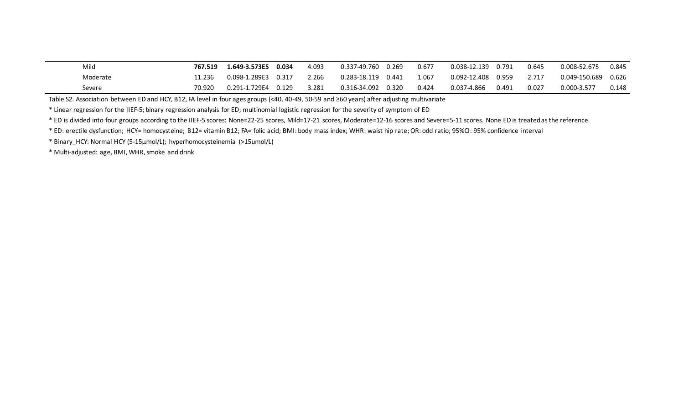| Mild     | 767.519 | 1.649-3.573E5 | 0.034    | 4.093 | 0.337-49.760 | 0.269 | 0.677 | 0.038-12.139 | 0.791 | 0.645 | 0.008-52.675  | 0.845 |
|----------|---------|---------------|----------|-------|--------------|-------|-------|--------------|-------|-------|---------------|-------|
| Moderate | 11.236  | 0.098-1.289E3 | .0.317 ر | 2.266 | 0.283-18.119 | 0.441 | 1.067 | 0.092-12.408 | 0.959 | 2.717 | 0.049-150.689 | 0.626 |
| Severe   | 70.920  | 0.291-1.729E4 | 0.129    | 3.281 | 0.316-34.092 | 0.320 | 0.424 | 0.037-4.866  | 0.491 | 0.027 | 0.000-3.577   | 0.148 |

Table S2. Association between ED and HCY, B12, FA level in four ages groups (<40, 40-49, 50-59 and ≥60 years) after adjusting multivariate

\* Linear regression for the IIEF-5; binary regression analysis for ED; multinomial logistic regression for the severity of symptom of ED

\* ED is divided into four groups according to the IIEF-5 scores: None=22-25 scores, Mild=17-21 scores, Moderate=12-16 scores and Severe=5-11 scores. None ED is treated as the reference.

\* ED: erectile dysfunction; HCY= homocysteine; B12= vitamin B12; FA= folic acid; BMI: body mass index; WHR: waist hip rate; OR: odd ratio; 95%CI: 95% confidence interval

\* Binary\_HCY: Normal HCY (5-15µmol/L); hyperhomocysteinemia (>15umol/L)

\* Multi-adjusted: age, BMI, WHR, smoke and drink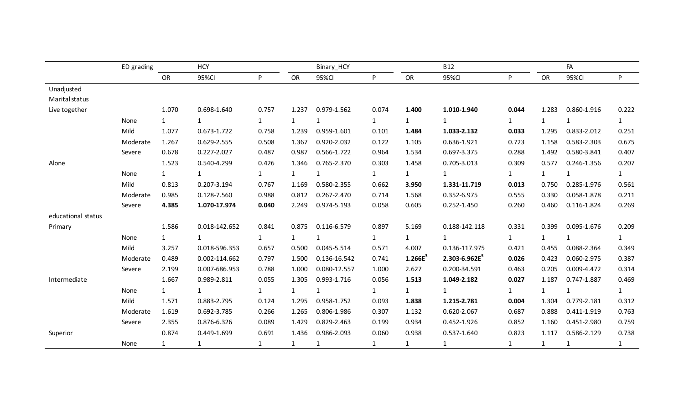|                    | ED grading |              | <b>HCY</b>    |              |              | Binary_HCY   |              |                     | <b>B12</b>        |              |              | FA           |              |
|--------------------|------------|--------------|---------------|--------------|--------------|--------------|--------------|---------------------|-------------------|--------------|--------------|--------------|--------------|
|                    |            | OR           | 95%CI         | P            | OR           | 95%CI        | P.           | OR                  | 95%CI             | P            | OR           | 95%CI        | P            |
| Unadjusted         |            |              |               |              |              |              |              |                     |                   |              |              |              |              |
| Marital status     |            |              |               |              |              |              |              |                     |                   |              |              |              |              |
| Live together      |            | 1.070        | 0.698-1.640   | 0.757        | 1.237        | 0.979-1.562  | 0.074        | 1.400               | 1.010-1.940       | 0.044        | 1.283        | 0.860-1.916  | 0.222        |
|                    | None       | 1            | $\mathbf{1}$  | 1            | $\mathbf{1}$ | $\mathbf{1}$ | $\mathbf{1}$ | $\mathbf{1}$        | $\mathbf{1}$      | $\mathbf{1}$ | $\mathbf{1}$ | $\mathbf{1}$ | $\mathbf{1}$ |
|                    | Mild       | 1.077        | 0.673-1.722   | 0.758        | 1.239        | 0.959-1.601  | 0.101        | 1.484               | 1.033-2.132       | 0.033        | 1.295        | 0.833-2.012  | 0.251        |
|                    | Moderate   | 1.267        | 0.629-2.555   | 0.508        | 1.367        | 0.920-2.032  | 0.122        | 1.105               | 0.636-1.921       | 0.723        | 1.158        | 0.583-2.303  | 0.675        |
|                    | Severe     | 0.678        | 0.227-2.027   | 0.487        | 0.987        | 0.566-1.722  | 0.964        | 1.534               | 0.697-3.375       | 0.288        | 1.492        | 0.580-3.841  | 0.407        |
| Alone              |            | 1.523        | 0.540-4.299   | 0.426        | 1.346        | 0.765-2.370  | 0.303        | 1.458               | 0.705-3.013       | 0.309        | 0.577        | 0.246-1.356  | 0.207        |
|                    | None       | $\mathbf{1}$ | $\mathbf{1}$  | 1            | $\mathbf{1}$ | $\mathbf{1}$ | $\mathbf{1}$ | $\mathbf{1}$        | $\mathbf{1}$      | $\mathbf{1}$ | $\mathbf{1}$ | $\mathbf{1}$ | 1            |
|                    | Mild       | 0.813        | 0.207-3.194   | 0.767        | 1.169        | 0.580-2.355  | 0.662        | 3.950               | 1.331-11.719      | 0.013        | 0.750        | 0.285-1.976  | 0.561        |
|                    | Moderate   | 0.985        | 0.128-7.560   | 0.988        | 0.812        | 0.267-2.470  | 0.714        | 1.568               | 0.352-6.975       | 0.555        | 0.330        | 0.058-1.878  | 0.211        |
|                    | Severe     | 4.385        | 1.070-17.974  | 0.040        | 2.249        | 0.974-5.193  | 0.058        | 0.605               | 0.252-1.450       | 0.260        | 0.460        | 0.116-1.824  | 0.269        |
| educational status |            |              |               |              |              |              |              |                     |                   |              |              |              |              |
| Primary            |            | 1.586        | 0.018-142.652 | 0.841        | 0.875        | 0.116-6.579  | 0.897        | 5.169               | 0.188-142.118     | 0.331        | 0.399        | 0.095-1.676  | 0.209        |
|                    | None       | 1            | $\mathbf{1}$  | 1            | $\mathbf{1}$ | $\mathbf{1}$ | $\mathbf{1}$ | $\mathbf{1}$        | $\mathbf{1}$      | $\mathbf{1}$ | $\mathbf{1}$ | $\mathbf{1}$ | 1            |
|                    | Mild       | 3.257        | 0.018-596.353 | 0.657        | 0.500        | 0.045-5.514  | 0.571        | 4.007               | 0.136-117.975     | 0.421        | 0.455        | 0.088-2.364  | 0.349        |
|                    | Moderate   | 0.489        | 0.002-114.662 | 0.797        | 1.500        | 0.136-16.542 | 0.741        | 1.266E <sup>3</sup> | $2.303 - 6.962E5$ | 0.026        | 0.423        | 0.060-2.975  | 0.387        |
|                    | Severe     | 2.199        | 0.007-686.953 | 0.788        | 1.000        | 0.080-12.557 | 1.000        | 2.627               | 0.200-34.591      | 0.463        | 0.205        | 0.009-4.472  | 0.314        |
| Intermediate       |            | 1.667        | 0.989-2.811   | 0.055        | 1.305        | 0.993-1.716  | 0.056        | 1.513               | 1.049-2.182       | 0.027        | 1.187        | 0.747-1.887  | 0.469        |
|                    | None       | 1            | $\mathbf{1}$  | 1            | $\mathbf{1}$ | $\mathbf{1}$ | $\mathbf{1}$ | $\mathbf{1}$        | $\mathbf{1}$      | $\mathbf{1}$ | $\mathbf{1}$ | $\mathbf{1}$ | 1            |
|                    | Mild       | 1.571        | 0.883-2.795   | 0.124        | 1.295        | 0.958-1.752  | 0.093        | 1.838               | 1.215-2.781       | 0.004        | 1.304        | 0.779-2.181  | 0.312        |
|                    | Moderate   | 1.619        | 0.692-3.785   | 0.266        | 1.265        | 0.806-1.986  | 0.307        | 1.132               | 0.620-2.067       | 0.687        | 0.888        | 0.411-1.919  | 0.763        |
|                    | Severe     | 2.355        | 0.876-6.326   | 0.089        | 1.429        | 0.829-2.463  | 0.199        | 0.934               | 0.452-1.926       | 0.852        | 1.160        | 0.451-2.980  | 0.759        |
| Superior           |            | 0.874        | 0.449-1.699   | 0.691        | 1.436        | 0.986-2.093  | 0.060        | 0.938               | 0.537-1.640       | 0.823        | 1.117        | 0.586-2.129  | 0.738        |
|                    | None       | $\mathbf{1}$ | $\mathbf{1}$  | $\mathbf{1}$ | $\mathbf{1}$ | $\mathbf{1}$ | $\mathbf{1}$ | $\mathbf{1}$        | $\mathbf{1}$      | $\mathbf{1}$ | $\mathbf{1}$ | 1            | $\mathbf{1}$ |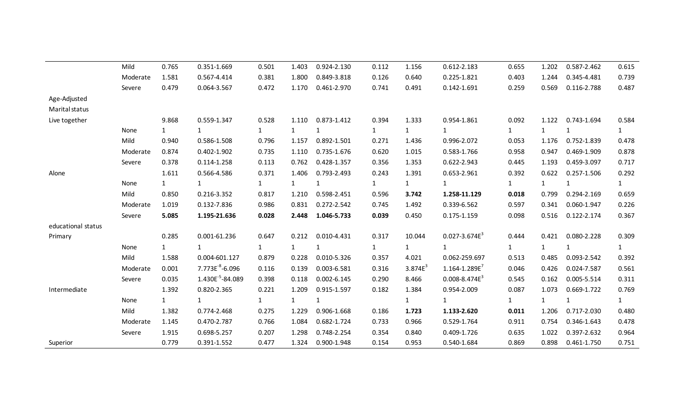|                    | Mild     | 0.765        | 0.351-1.669                  | 0.501        | 1.403        | 0.924-2.130     | 0.112        | 1.156        | 0.612-2.183          | 0.655        | 1.202        | 0.587-2.462  | 0.615        |
|--------------------|----------|--------------|------------------------------|--------------|--------------|-----------------|--------------|--------------|----------------------|--------------|--------------|--------------|--------------|
|                    | Moderate | 1.581        | 0.567-4.414                  | 0.381        | 1.800        | 0.849-3.818     | 0.126        | 0.640        | 0.225-1.821          | 0.403        | 1.244        | 0.345-4.481  | 0.739        |
|                    | Severe   | 0.479        | 0.064-3.567                  | 0.472        | 1.170        | 0.461-2.970     | 0.741        | 0.491        | $0.142 - 1.691$      | 0.259        | 0.569        | 0.116-2.788  | 0.487        |
| Age-Adjusted       |          |              |                              |              |              |                 |              |              |                      |              |              |              |              |
| Marital status     |          |              |                              |              |              |                 |              |              |                      |              |              |              |              |
| Live together      |          | 9.868        | 0.559-1.347                  | 0.528        | 1.110        | 0.873-1.412     | 0.394        | 1.333        | 0.954-1.861          | 0.092        | 1.122        | 0.743-1.694  | 0.584        |
|                    | None     | $\mathbf{1}$ | $\mathbf{1}$                 | $\mathbf{1}$ | $\mathbf{1}$ | $\mathbf{1}$    | $\mathbf{1}$ | $\mathbf{1}$ | $\mathbf{1}$         | $\mathbf{1}$ | $\mathbf{1}$ | $\mathbf{1}$ | $\mathbf{1}$ |
|                    | Mild     | 0.940        | 0.586-1.508                  | 0.796        | 1.157        | 0.892-1.501     | 0.271        | 1.436        | 0.996-2.072          | 0.053        | 1.176        | 0.752-1.839  | 0.478        |
|                    | Moderate | 0.874        | 0.402-1.902                  | 0.735        | 1.110        | 0.735-1.676     | 0.620        | 1.015        | 0.583-1.766          | 0.958        | 0.947        | 0.469-1.909  | 0.878        |
|                    | Severe   | 0.378        | $0.114 - 1.258$              | 0.113        | 0.762        | 0.428-1.357     | 0.356        | 1.353        | 0.622-2.943          | 0.445        | 1.193        | 0.459-3.097  | 0.717        |
| Alone              |          | 1.611        | 0.566-4.586                  | 0.371        | 1.406        | 0.793-2.493     | 0.243        | 1.391        | 0.653-2.961          | 0.392        | 0.622        | 0.257-1.506  | 0.292        |
|                    | None     | $\mathbf{1}$ | $\mathbf{1}$                 | $\mathbf{1}$ | $\mathbf{1}$ | 1               | $\mathbf{1}$ | $\mathbf{1}$ | $\mathbf{1}$         | $\mathbf{1}$ | $\mathbf{1}$ | 1            | $\mathbf{1}$ |
|                    | Mild     | 0.850        | 0.216-3.352                  | 0.817        | 1.210        | 0.598-2.451     | 0.596        | 3.742        | 1.258-11.129         | 0.018        | 0.799        | 0.294-2.169  | 0.659        |
|                    | Moderate | 1.019        | 0.132-7.836                  | 0.986        | 0.831        | 0.272-2.542     | 0.745        | 1.492        | 0.339-6.562          | 0.597        | 0.341        | 0.060-1.947  | 0.226        |
|                    | Severe   | 5.085        | 1.195-21.636                 | 0.028        | 2.448        | 1.046-5.733     | 0.039        | 0.450        | $0.175 - 1.159$      | 0.098        | 0.516        | 0.122-2.174  | 0.367        |
| educational status |          |              |                              |              |              |                 |              |              |                      |              |              |              |              |
| Primary            |          | 0.285        | 0.001-61.236                 | 0.647        | 0.212        | 0.010-4.431     | 0.317        | 10.044       | $0.027 - 3.674E3$    | 0.444        | 0.421        | 0.080-2.228  | 0.309        |
|                    | None     | $\mathbf{1}$ | $\mathbf{1}$                 | $\mathbf{1}$ | $\mathbf{1}$ | $\mathbf{1}$    | $\mathbf{1}$ | $\mathbf{1}$ | $\mathbf{1}$         | $\mathbf{1}$ | $\mathbf{1}$ | $\mathbf{1}$ | $\mathbf{1}$ |
|                    | Mild     | 1.588        | 0.004-601.127                | 0.879        | 0.228        | 0.010-5.326     | 0.357        | 4.021        | 0.062-259.697        | 0.513        | 0.485        | 0.093-2.542  | 0.392        |
|                    | Moderate | 0.001        | $7.773E^{-8} - 6.096$        | 0.116        | 0.139        | 0.003-6.581     | 0.316        | $3.874E^{3}$ | $1.164 - 1.289E^{7}$ | 0.046        | 0.426        | 0.024-7.587  | 0.561        |
|                    | Severe   | 0.035        | 1.430E <sup>-5</sup> -84.089 | 0.398        | 0.118        | $0.002 - 6.145$ | 0.290        | 8.466        | $0.008 - 8.474E3$    | 0.545        | 0.162        | 0.005-5.514  | 0.311        |
| Intermediate       |          | 1.392        | 0.820-2.365                  | 0.221        | 1.209        | 0.915-1.597     | 0.182        | 1.384        | 0.954-2.009          | 0.087        | 1.073        | 0.669-1.722  | 0.769        |
|                    | None     | $\mathbf{1}$ | $\mathbf{1}$                 | $\mathbf{1}$ | $\mathbf{1}$ | $\mathbf{1}$    |              | $\mathbf{1}$ | $\mathbf{1}$         | $\mathbf{1}$ | $\mathbf{1}$ | 1            | $\mathbf{1}$ |
|                    | Mild     | 1.382        | 0.774-2.468                  | 0.275        | 1.229        | 0.906-1.668     | 0.186        | 1.723        | 1.133-2.620          | 0.011        | 1.206        | 0.717-2.030  | 0.480        |
|                    | Moderate | 1.145        | 0.470-2.787                  | 0.766        | 1.084        | 0.682-1.724     | 0.733        | 0.966        | 0.529-1.764          | 0.911        | 0.754        | 0.346-1.643  | 0.478        |
|                    | Severe   | 1.915        | 0.698-5.257                  | 0.207        | 1.298        | 0.748-2.254     | 0.354        | 0.840        | 0.409-1.726          | 0.635        | 1.022        | 0.397-2.632  | 0.964        |
| Superior           |          | 0.779        | 0.391-1.552                  | 0.477        | 1.324        | 0.900-1.948     | 0.154        | 0.953        | 0.540-1.684          | 0.869        | 0.898        | 0.461-1.750  | 0.751        |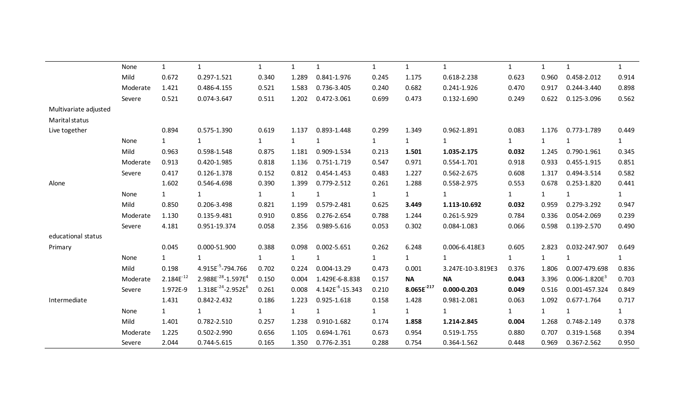|                       | None     | $\mathbf{1}$   | $\mathbf{1}$                               | $\mathbf{1}$ | $\mathbf{1}$ | $\mathbf{1}$           | $\mathbf{1}$ | $\mathbf{1}$    | $\mathbf{1}$      | $\mathbf{1}$ | $\mathbf{1}$ | $\mathbf{1}$      | $\mathbf{1}$ |
|-----------------------|----------|----------------|--------------------------------------------|--------------|--------------|------------------------|--------------|-----------------|-------------------|--------------|--------------|-------------------|--------------|
|                       | Mild     | 0.672          | 0.297-1.521                                | 0.340        | 1.289        | 0.841-1.976            | 0.245        | 1.175           | 0.618-2.238       | 0.623        | 0.960        | 0.458-2.012       | 0.914        |
|                       | Moderate | 1.421          | 0.486-4.155                                | 0.521        | 1.583        | 0.736-3.405            | 0.240        | 0.682           | $0.241 - 1.926$   | 0.470        | 0.917        | 0.244-3.440       | 0.898        |
|                       | Severe   | 0.521          | 0.074-3.647                                | 0.511        | 1.202        | 0.472-3.061            | 0.699        | 0.473           | 0.132-1.690       | 0.249        | 0.622        | 0.125-3.096       | 0.562        |
| Multivariate adjusted |          |                |                                            |              |              |                        |              |                 |                   |              |              |                   |              |
| Marital status        |          |                |                                            |              |              |                        |              |                 |                   |              |              |                   |              |
| Live together         |          | 0.894          | 0.575-1.390                                | 0.619        | 1.137        | 0.893-1.448            | 0.299        | 1.349           | 0.962-1.891       | 0.083        | 1.176        | 0.773-1.789       | 0.449        |
|                       | None     | 1              | $\mathbf{1}$                               | $\mathbf{1}$ | $\mathbf{1}$ | $\mathbf{1}$           | $\mathbf{1}$ | $\mathbf{1}$    | $\mathbf{1}$      | $\mathbf{1}$ | $\mathbf{1}$ | $\mathbf{1}$      | 1            |
|                       | Mild     | 0.963          | 0.598-1.548                                | 0.875        | 1.181        | 0.909-1.534            | 0.213        | 1.501           | 1.035-2.175       | 0.032        | 1.245        | 0.790-1.961       | 0.345        |
|                       | Moderate | 0.913          | 0.420-1.985                                | 0.818        | 1.136        | 0.751-1.719            | 0.547        | 0.971           | 0.554-1.701       | 0.918        | 0.933        | 0.455-1.915       | 0.851        |
|                       | Severe   | 0.417          | 0.126-1.378                                | 0.152        | 0.812        | 0.454-1.453            | 0.483        | 1.227           | 0.562-2.675       | 0.608        | 1.317        | 0.494-3.514       | 0.582        |
| Alone                 |          | 1.602          | 0.546-4.698                                | 0.390        | 1.399        | 0.779-2.512            | 0.261        | 1.288           | 0.558-2.975       | 0.553        | 0.678        | 0.253-1.820       | 0.441        |
|                       | None     | $\mathbf{1}$   | $\mathbf{1}$                               | $\mathbf{1}$ | $\mathbf{1}$ | $\mathbf{1}$           | $\mathbf{1}$ | $\mathbf{1}$    | $\mathbf{1}$      | $\mathbf{1}$ | $\mathbf{1}$ | $\mathbf{1}$      | $\mathbf{1}$ |
|                       | Mild     | 0.850          | 0.206-3.498                                | 0.821        | 1.199        | 0.579-2.481            | 0.625        | 3.449           | 1.113-10.692      | 0.032        | 0.959        | 0.279-3.292       | 0.947        |
|                       | Moderate | 1.130          | 0.135-9.481                                | 0.910        | 0.856        | 0.276-2.654            | 0.788        | 1.244           | 0.261-5.929       | 0.784        | 0.336        | 0.054-2.069       | 0.239        |
|                       | Severe   | 4.181          | 0.951-19.374                               | 0.058        | 2.356        | 0.989-5.616            | 0.053        | 0.302           | 0.084-1.083       | 0.066        | 0.598        | 0.139-2.570       | 0.490        |
| educational status    |          |                |                                            |              |              |                        |              |                 |                   |              |              |                   |              |
| Primary               |          | 0.045          | 0.000-51.900                               | 0.388        | 0.098        | 0.002-5.651            | 0.262        | 6.248           | 0.006-6.418E3     | 0.605        | 2.823        | 0.032-247.907     | 0.649        |
|                       | None     | 1              | $\mathbf{1}$                               | $\mathbf{1}$ | $\mathbf{1}$ | $\mathbf{1}$           | $\mathbf{1}$ | $\mathbf{1}$    | $\mathbf{1}$      | $\mathbf{1}$ | $\mathbf{1}$ | $\mathbf{1}$      | $\mathbf{1}$ |
|                       | Mild     | 0.198          | 4.915E <sup>-5</sup> -794.766              | 0.702        | 0.224        | 0.004-13.29            | 0.473        | 0.001           | 3.247E-10-3.819E3 | 0.376        | 1.806        | 0.007-479.698     | 0.836        |
|                       | Moderate | $2.184E^{-12}$ | 2.988E <sup>-28</sup> -1.597E <sup>4</sup> | 0.150        | 0.004        | 1.429E-6-8.838         | 0.157        | <b>NA</b>       | <b>NA</b>         | 0.043        | 3.396        | $0.006 - 1.820E3$ | 0.703        |
|                       | Severe   | 1.972E-9       | $1.318E^{-24} - 2.952E^{6}$                | 0.261        | 0.008        | $4.142E^{-6} - 15.343$ | 0.210        | $8.065E^{-217}$ | $0.000 - 0.203$   | 0.049        | 0.516        | 0.001-457.324     | 0.849        |
| Intermediate          |          | 1.431          | 0.842-2.432                                | 0.186        | 1.223        | 0.925-1.618            | 0.158        | 1.428           | 0.981-2.081       | 0.063        | 1.092        | 0.677-1.764       | 0.717        |
|                       | None     |                | $\mathbf{1}$                               | $\mathbf{1}$ | $\mathbf{1}$ | $\mathbf{1}$           | $\mathbf{1}$ | $\mathbf{1}$    | $\mathbf{1}$      | $\mathbf{1}$ | $\mathbf{1}$ | 1                 | $\mathbf{1}$ |
|                       | Mild     | 1.401          | 0.782-2.510                                | 0.257        | 1.238        | 0.910-1.682            | 0.174        | 1.858           | 1.214-2.845       | 0.004        | 1.268        | 0.748-2.149       | 0.378        |
|                       | Moderate | 1.225          | 0.502-2.990                                | 0.656        | 1.105        | 0.694-1.761            | 0.673        | 0.954           | 0.519-1.755       | 0.880        | 0.707        | 0.319-1.568       | 0.394        |
|                       | Severe   | 2.044          | 0.744-5.615                                | 0.165        | 1.350        | 0.776-2.351            | 0.288        | 0.754           | 0.364-1.562       | 0.448        | 0.969        | 0.367-2.562       | 0.950        |